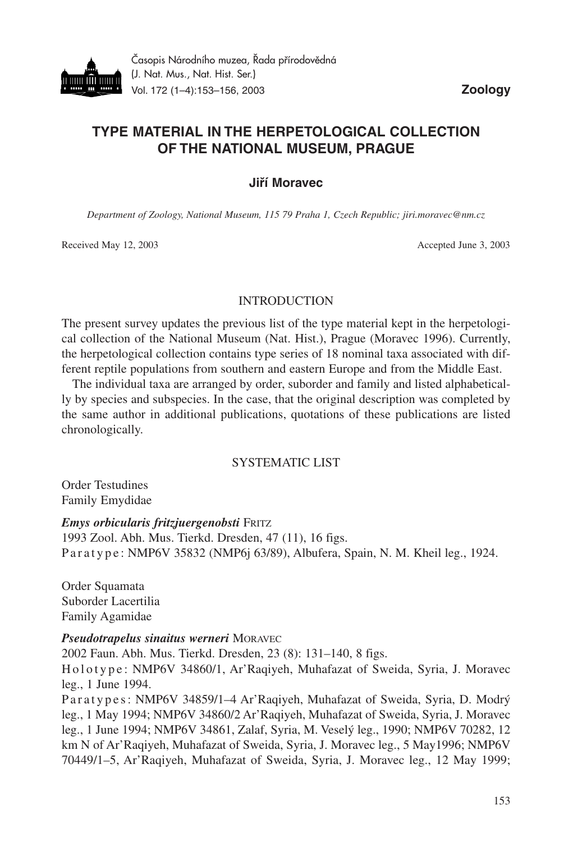

# **TYPE MATERIAL IN THE HERPETOLOGICAL COLLECTION OF THE NATIONAL MUSEUM, PRAGUE**

#### **Jiří Moravec**

*Department of Zoology, National Museum, 115 79 Praha 1, Czech Republic; jiri.moravec@nm.cz*

Received May 12, 2003 Accepted June 3, 2003

#### **INTRODUCTION**

The present survey updates the previous list of the type material kept in the herpetological collection of the National Museum (Nat. Hist.), Prague (Moravec 1996). Currently, the herpetological collection contains type series of 18 nominal taxa associated with different reptile populations from southern and eastern Europe and from the Middle East.

The individual taxa are arranged by order, suborder and family and listed alphabetically by species and subspecies. In the case, that the original description was completed by the same author in additional publications, quotations of these publications are listed chronologically.

### SYSTEMATIC LIST

Order Testudines Family Emydidae

#### *Emys orbicularis fritzjuergenobsti* FRITZ

1993 Zool. Abh. Mus. Tierkd. Dresden, 47 (11), 16 figs. P a r a t y p e : NMP6V 35832 (NMP6j 63/89), Albufera, Spain, N. M. Kheil leg., 1924.

Order Squamata Suborder Lacertilia Family Agamidae

#### *Pseudotrapelus sinaitus werneri* MORAVEC

2002 Faun. Abh. Mus. Tierkd. Dresden, 23 (8): 131–140, 8 figs. H ol ot y p e : NMP6V 34860/1, Ar'Raqiyeh, Muhafazat of Sweida, Syria, J. Moravec leg., 1 June 1994. P a r a t y p e s : NMP6V 34859/1–4 Ar'Raqiyeh, Muhafazat of Sweida, Syria, D. Modrý

leg., 1 May 1994; NMP6V 34860/2 Ar'Raqiyeh, Muhafazat of Sweida, Syria, J. Moravec leg., 1 June 1994; NMP6V 34861, Zalaf, Syria, M. Veselý leg., 1990; NMP6V 70282, 12 km N of Ar'Raqiyeh, Muhafazat of Sweida, Syria, J. Moravec leg., 5 May1996; NMP6V 70449/1–5, Ar'Raqiyeh, Muhafazat of Sweida, Syria, J. Moravec leg., 12 May 1999;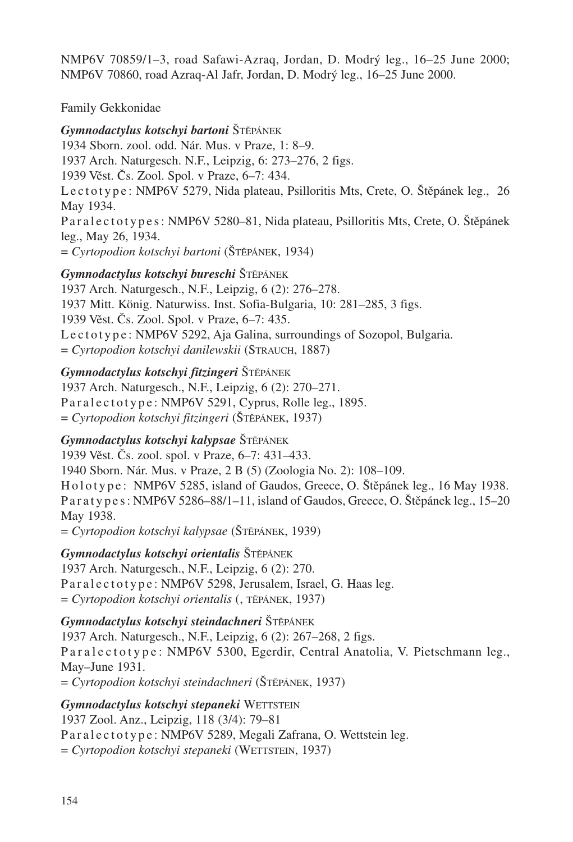NMP6V 70859/1–3, road Safawi-Azraq, Jordan, D. Modrý leg., 16–25 June 2000; NMP6V 70860, road Azraq-Al Jafr, Jordan, D. Modrý leg., 16–25 June 2000.

## Family Gekkonidae

*Gymnodactylus kotschyi bartoni* ŠTĚPÁNEK 1934 Sborn. zool. odd. Nár. Mus. v Praze, 1: 8–9. 1937 Arch. Naturgesch. N.F., Leipzig, 6: 273–276, 2 figs. 1939 Věst. Čs. Zool. Spol. v Praze, 6–7: 434. Le c t o t y p e : NMP6V 5279, Nida plateau, Psilloritis Mts, Crete, O. Štěpánek leg., 26 May 1934. Paral e ctotypes: NMP6V 5280–81, Nida plateau, Psilloritis Mts, Crete, O. Štěpánek leg., May 26, 1934. = *Cyrtopodion kotschyi bartoni* (ŠTĚPÁNEK, 1934)

## *Gymnodactylus kotschyi bureschi* ŠTĚPÁNEK

1937 Arch. Naturgesch., N.F., Leipzig, 6 (2): 276–278. 1937 Mitt. König. Naturwiss. Inst. Sofia-Bulgaria, 10: 281–285, 3 figs. 1939 Věst. Čs. Zool. Spol. v Praze, 6–7: 435. Lectotype: NMP6V 5292, Aja Galina, surroundings of Sozopol, Bulgaria. = *Cyrtopodion kotschyi danilewskii* (STRAUCH, 1887)

### *Gymnodactylus kotschyi fitzingeri* ŠTĚPÁNEK

1937 Arch. Naturgesch., N.F., Leipzig, 6 (2): 270–271. Paralectotype: NMP6V 5291, Cyprus, Rolle leg., 1895. = *Cyrtopodion kotschyi fitzingeri* (ŠTĚPÁNEK, 1937)

### *Gymnodactylus kotschyi kalypsae* ŠTĚPÁNEK

1939 Věst. Čs. zool. spol. v Praze, 6–7: 431–433.

1940 Sborn. Nár. Mus. v Praze, 2 B (5) (Zoologia No. 2): 108–109.

Holotype: NMP6V 5285, island of Gaudos, Greece, O. Štěpánek leg., 16 May 1938. P a r a t y p e s : NMP6V 5286–88/1–11, island of Gaudos, Greece, O. Štěpánek leg., 15–20 May 1938.

= *Cyrtopodion kotschyi kalypsae* (ŠTĚPÁNEK, 1939)

*Gymnodactylus kotschyi orientalis* ŠTĚPÁNEK 1937 Arch. Naturgesch., N.F., Leipzig, 6 (2): 270. Paralectotype: NMP6V 5298, Jerusalem, Israel, G. Haas leg.  $=$  *Cyrtopodion kotschyi orientalis* (, TĚPÁNEK, 1937)

### *Gymnodactylus kotschyi steindachneri* ŠTĚPÁNEK

1937 Arch. Naturgesch., N.F., Leipzig, 6 (2): 267–268, 2 figs. Paralectotype: NMP6V 5300, Egerdir, Central Anatolia, V. Pietschmann leg., May–June 1931.

= *Cyrtopodion kotschyi steindachneri* (ŠTĚPÁNEK, 1937)

### *Gymnodactylus kotschyi stepaneki* WETTSTEIN

1937 Zool. Anz., Leipzig, 118 (3/4): 79–81 Paralectotype: NMP6V 5289, Megali Zafrana, O. Wettstein leg. = *Cyrtopodion kotschyi stepaneki* (WETTSTEIN, 1937)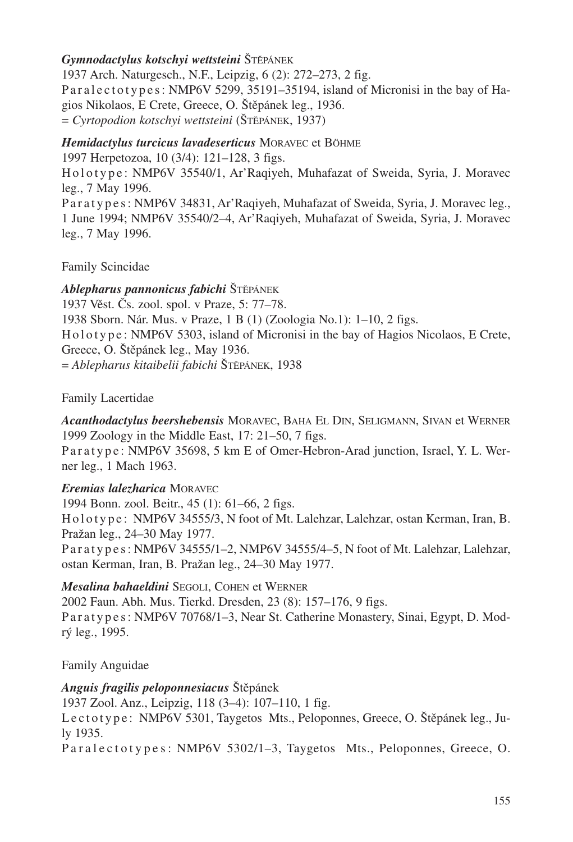### *Gymnodactylus kotschyi wettsteini* ŠTĚPÁNEK

1937 Arch. Naturgesch., N.F., Leipzig, 6 (2): 272–273, 2 fig. Paralectotypes: NMP6V 5299, 35191-35194, island of Micronisi in the bay of Hagios Nikolaos, E Crete, Greece, O. Štěpánek leg., 1936. = *Cyrtopodion kotschyi wettsteini* (ŠTĚPÁNEK, 1937)

### *Hemidactylus turcicus lavadeserticus* MORAVEC et BÖHME

1997 Herpetozoa, 10 (3/4): 121–128, 3 figs.

H ol ot y p e : NMP6V 35540/1, Ar'Raqiyeh, Muhafazat of Sweida, Syria, J. Moravec leg., 7 May 1996.

P a r a t y p e s : NMP6V 34831, Ar'Raqiyeh, Muhafazat of Sweida, Syria, J. Moravec leg., 1 June 1994; NMP6V 35540/2–4, Ar'Raqiyeh, Muhafazat of Sweida, Syria, J. Moravec leg., 7 May 1996.

Family Scincidae

*Ablepharus pannonicus fabichi* ŠTĚPÁNEK 1937 Věst. Čs. zool. spol. v Praze, 5: 77–78. 1938 Sborn. Nár. Mus. v Praze, 1 B (1) (Zoologia No.1): 1–10, 2 figs. Holotype: NMP6V 5303, island of Micronisi in the bay of Hagios Nicolaos, E Crete, Greece, O. Štěpánek leg., May 1936. = *Ablepharus kitaibelii fabichi* ŠTĚPÁNEK, 1938

Family Lacertidae

*Acanthodactylus beershebensis* MORAVEC, BAHA EL DIN, SELIGMANN, SIVAN et WERNER 1999 Zoology in the Middle East, 17: 21–50, 7 figs.

Paratype: NMP6V 35698, 5 km E of Omer-Hebron-Arad junction, Israel, Y. L. Werner leg., 1 Mach 1963.

## *Eremias lalezharica* MORAVEC

1994 Bonn. zool. Beitr., 45 (1): 61–66, 2 figs. H o l o t y p e : NMP6V 34555/3, N foot of Mt. Lalehzar, Lalehzar, ostan Kerman, Iran, B. Pražan leg., 24–30 May 1977.

P a r a t y p e s : NMP6V 34555/1–2, NMP6V 34555/4–5, N foot of Mt. Lalehzar, Lalehzar, ostan Kerman, Iran, B. Pražan leg., 24–30 May 1977.

## *Mesalina bahaeldini* SEGOLI, COHEN et WERNER

2002 Faun. Abh. Mus. Tierkd. Dresden, 23 (8): 157–176, 9 figs. Paratypes: NMP6V 70768/1–3, Near St. Catherine Monastery, Sinai, Egypt, D. Modrý leg., 1995.

Family Anguidae

## *Anguis fragilis peloponnesiacus* Štěpánek

1937 Zool. Anz., Leipzig, 118 (3–4): 107–110, 1 fig.

Le ctotype: NMP6V 5301, Taygetos Mts., Peloponnes, Greece, O. Štěpánek leg., July 1935.

Paralectotypes: NMP6V 5302/1-3, Taygetos Mts., Peloponnes, Greece, O.